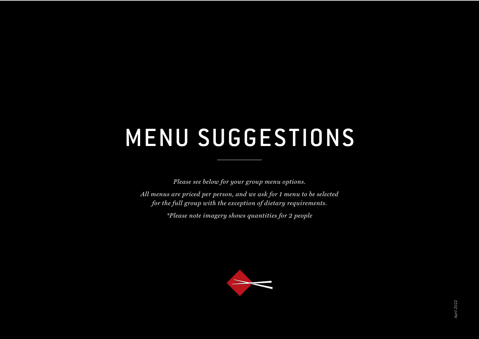# MENU SUGGESTIONS

*Please see below for your group menu options.*

*All menus are priced per person, and we ask for 1 menu to be selected for the full group with the exception of dietary requirements.* 

*\*Please note imagery shows quantities for 2 people*

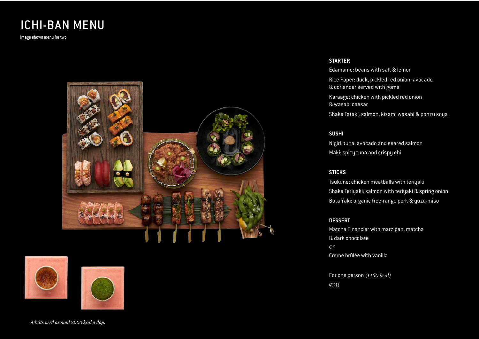# ICHI-BAN MENU

Image shows menu for two







**STARTER**

Edamame: beans with salt & lemon Rice Paper: duck, pickled red onion, avocado & coriander served with goma Karaage: chicken with pickled red onion

& wasabi caesar

Shake Tataki: salmon, kizami wasabi & ponzu soya

#### **SUSHI**

Nigiri: tuna, avocado and seared salmon Maki: spicy tuna and crispy ebi

# **STICKS**

Tsukune: chicken meatballs with teriyaki Shake Teriyaki: salmon with teriyaki & spring onion Buta Yaki: organic free-range pork & yuzu-miso

### **DESSERT**

Matcha Financier with marzipan, matcha & dark chocolate or Crème brûlée with vanilla

For one person *(1460 kcal)*

£38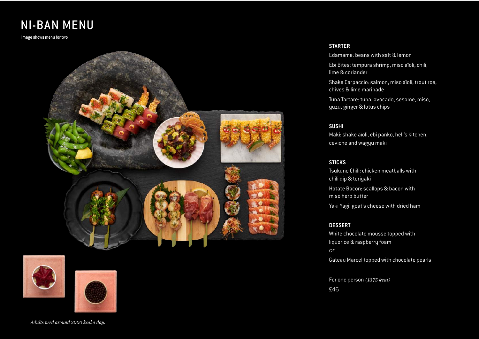# NI-BAN MENU

Image shows menu for two







#### *Adults need around 2000 kcal a day.*

#### **STARTER**

Edamame: beans with salt & lemon

Ebi Bites: tempura shrimp, miso aïoli, chili, lime & coriander

Shake Carpaccio: salmon, miso aïoli, trout roe, chives & lime marinade

Tuna Tartare: tuna, avocado, sesame, miso, yuzu, ginger & lotus chips

## **SUSHI**

Maki: shake aïoli, ebi panko, hell's kitchen, ceviche and wagyu maki

### **STICKS**

Tsukune Chili: chicken meatballs with chili dip & teriyaki Hotate Bacon: scallops & bacon with miso herb butter Yaki Yagi: goat's cheese with dried ham

#### **DESSERT**

White chocolate mousse topped with liquorice & raspberry foam or Gateau Marcel topped with chocolate pearls

For one person *(1375 kcal)* £46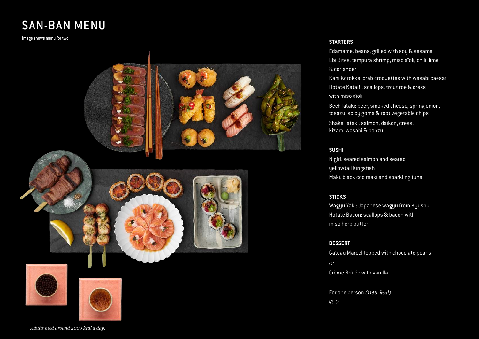# SAN-BAN MENU

Image shows menu for two



### **STARTERS**

Edamame: beans, grilled with soy & sesame Ebi Bites: tempura shrimp, miso aïoli, chili, lime & coriander Kani Korokke: crab croquettes with wasabi caesar Hotate Kataifi: scallops, trout roe & cress with miso aïoli

Beef Tataki: beef, smoked cheese, spring onion, tosazu, spicy goma & root vegetable chips

Shake Tataki: salmon, daikon, cress, kizami wasabi & ponzu

# **SUSHI**

Nigiri: seared salmon and seared yellowtail kingsfish Maki: black cod maki and sparkling tuna

### **STICKS**

Wagyu Yaki: Japanese wagyu from Kyushu Hotate Bacon: scallops & bacon with miso herb butter

#### **DESSERT**

Gateau Marcel topped with chocolate pearls or Crème Brûlée with vanilla

For one person *(1158 kcal)* £52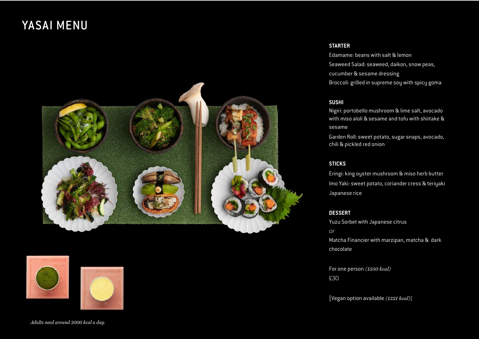# YASAI MENU





#### **STARTER**

Edamame: beans with salt & lemon Seaweed Salad: seaweed, daikon, snow peas, cucumber & sesame dressing Broccoli: grilled in supreme soy with spicy goma

# **SUSHI**

Nigiri: portobello mushroom & lime salt, avocado with miso aïoli & sesame and tofu with shiitake & sesame

Garden Roll: sweet potato, sugar snaps, avocado, chili & pickled red onion

#### **STICKS**

Eringi: king oyster mushroom & miso herb butter Imo Yaki: sweet potato, coriander cress & teriyaki Japanese rice

### **DESSERT**

Yuzu Sorbet with Japanese citrus or Matcha Financier with marzipan, matcha & dark chocolate

For one person *(1350 kcal)* £30

[Vegan option available *(1321 kcal)*]

*Adults need around 2000 kcal a day.*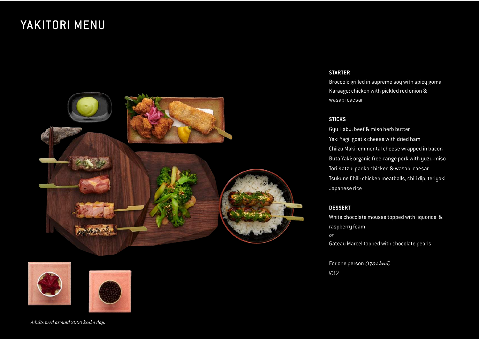# YAKITORI MENU







## **STARTER**

Broccoli: grilled in supreme soy with spicy goma Karaage: chicken with pickled red onion & wasabi caesar

#### **STICKS**

Gyu Habu: beef & miso herb butter Yaki Yagi: goat's cheese with dried ham Chiizu Maki: emmental cheese wrapped in bacon Buta Yaki: organic free-range pork with yuzu-miso Tori Katzu: panko chicken & wasabi caesar Tsukune Chili: chicken meatballs, chili dip, teriyaki Japanese rice

# **DESSERT**

White chocolate mousse topped with liquorice & raspberry foam or Gateau Marcel topped with chocolate pearls

For one person *(1734 kcal)* £32